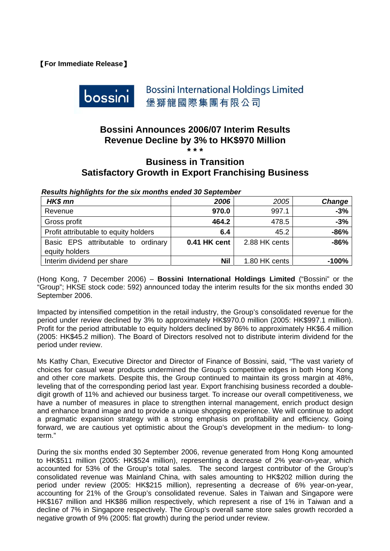## 【**For Immediate Release**】



**Bossini International Holdings Limited** 堡獅龍國際集團有限公司

# **Bossini Announces 2006/07 Interim Results Revenue Decline by 3% to HK\$970 Million \* \* \***

## **Business in Transition Satisfactory Growth in Export Franchising Business**

| woodilo inginighto for the oix months chaca ou ocptenber |              |               |         |  |  |  |
|----------------------------------------------------------|--------------|---------------|---------|--|--|--|
| HK\$ mn                                                  | 2006         | 2005          | Change  |  |  |  |
| Revenue                                                  | 970.0        | 997.1         | $-3%$   |  |  |  |
| Gross profit                                             | 464.2        | 478.5         | $-3%$   |  |  |  |
| Profit attributable to equity holders                    | 6.4          | 45.2          | $-86%$  |  |  |  |
| Basic EPS attributable to ordinary<br>equity holders     | 0.41 HK cent | 2.88 HK cents | $-86%$  |  |  |  |
| Interim dividend per share                               | <b>Nil</b>   | 1.80 HK cents | $-100%$ |  |  |  |

*Results highlights for the six months ended 30 September* 

(Hong Kong, 7 December 2006) – **Bossini International Holdings Limited** ("Bossini" or the "Group"; HKSE stock code: 592) announced today the interim results for the six months ended 30 September 2006.

Impacted by intensified competition in the retail industry, the Group's consolidated revenue for the period under review declined by 3% to approximately HK\$970.0 million (2005: HK\$997.1 million). Profit for the period attributable to equity holders declined by 86% to approximately HK\$6.4 million (2005: HK\$45.2 million). The Board of Directors resolved not to distribute interim dividend for the period under review.

Ms Kathy Chan, Executive Director and Director of Finance of Bossini, said, "The vast variety of choices for casual wear products undermined the Group's competitive edges in both Hong Kong and other core markets. Despite this, the Group continued to maintain its gross margin at 48%, leveling that of the corresponding period last year. Export franchising business recorded a doubledigit growth of 11% and achieved our business target. To increase our overall competitiveness, we have a number of measures in place to strengthen internal management, enrich product design and enhance brand image and to provide a unique shopping experience. We will continue to adopt a pragmatic expansion strategy with a strong emphasis on profitability and efficiency. Going forward, we are cautious yet optimistic about the Group's development in the medium- to longterm."

During the six months ended 30 September 2006, revenue generated from Hong Kong amounted to HK\$511 million (2005: HK\$524 million), representing a decrease of 2% year-on-year, which accounted for 53% of the Group's total sales. The second largest contributor of the Group's consolidated revenue was Mainland China, with sales amounting to HK\$202 million during the period under review (2005: HK\$215 million), representing a decrease of 6% year-on-year, accounting for 21% of the Group's consolidated revenue. Sales in Taiwan and Singapore were HK\$167 million and HK\$86 million respectively, which represent a rise of 1% in Taiwan and a decline of 7% in Singapore respectively. The Group's overall same store sales growth recorded a negative growth of 9% (2005: flat growth) during the period under review.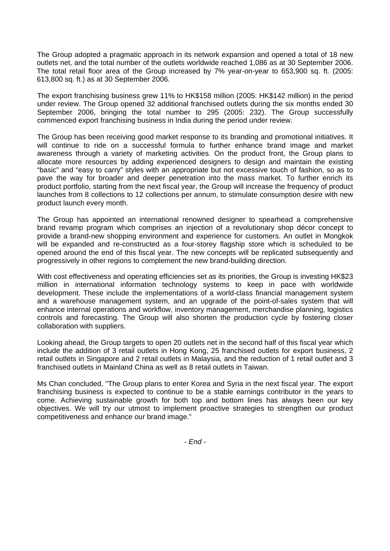The Group adopted a pragmatic approach in its network expansion and opened a total of 18 new outlets net, and the total number of the outlets worldwide reached 1,086 as at 30 September 2006. The total retail floor area of the Group increased by 7% year-on-year to 653,900 sq. ft. (2005: 613,800 sq. ft.) as at 30 September 2006.

The export franchising business grew 11% to HK\$158 million (2005: HK\$142 million) in the period under review. The Group opened 32 additional franchised outlets during the six months ended 30 September 2006, bringing the total number to 295 (2005: 232). The Group successfully commenced export franchising business in India during the period under review.

The Group has been receiving good market response to its branding and promotional initiatives. It will continue to ride on a successful formula to further enhance brand image and market awareness through a variety of marketing activities. On the product front, the Group plans to allocate more resources by adding experienced designers to design and maintain the existing "basic" and "easy to carry" styles with an appropriate but not excessive touch of fashion, so as to pave the way for broader and deeper penetration into the mass market. To further enrich its product portfolio, starting from the next fiscal year, the Group will increase the frequency of product launches from 8 collections to 12 collections per annum, to stimulate consumption desire with new product launch every month.

The Group has appointed an international renowned designer to spearhead a comprehensive brand revamp program which comprises an injection of a revolutionary shop décor concept to provide a brand-new shopping environment and experience for customers. An outlet in Mongkok will be expanded and re-constructed as a four-storey flagship store which is scheduled to be opened around the end of this fiscal year. The new concepts will be replicated subsequently and progressively in other regions to complement the new brand-building direction.

With cost effectiveness and operating efficiencies set as its priorities, the Group is investing HK\$23 million in international information technology systems to keep in pace with worldwide development. These include the implementations of a world-class financial management system and a warehouse management system, and an upgrade of the point-of-sales system that will enhance internal operations and workflow, inventory management, merchandise planning, logistics controls and forecasting. The Group will also shorten the production cycle by fostering closer collaboration with suppliers.

Looking ahead, the Group targets to open 20 outlets net in the second half of this fiscal year which include the addition of 3 retail outlets in Hong Kong, 25 franchised outlets for export business, 2 retail outlets in Singapore and 2 retail outlets in Malaysia, and the reduction of 1 retail outlet and 3 franchised outlets in Mainland China as well as 8 retail outlets in Taiwan.

Ms Chan concluded, "The Group plans to enter Korea and Syria in the next fiscal year. The export franchising business is expected to continue to be a stable earnings contributor in the years to come. Achieving sustainable growth for both top and bottom lines has always been our key objectives. We will try our utmost to implement proactive strategies to strengthen our product competitiveness and enhance our brand image."

*- End -*